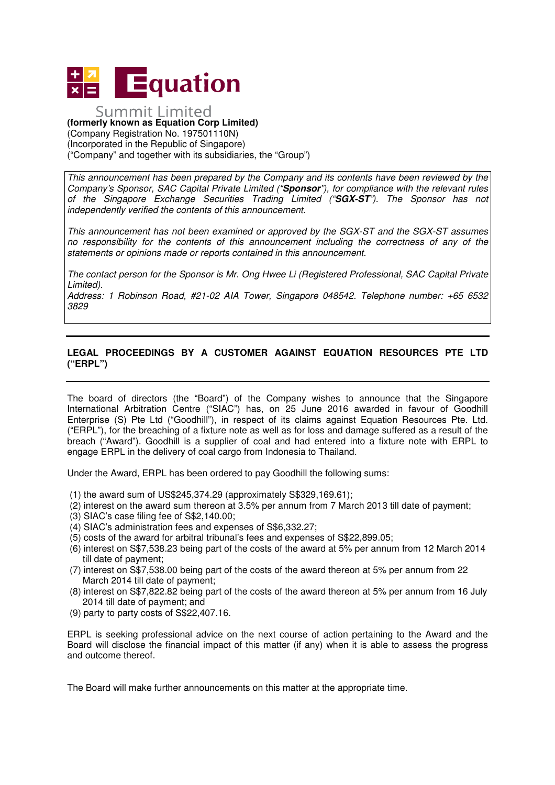

## Summit Limited

**(formerly known as Equation Corp Limited)**  (Company Registration No. 197501110N) (Incorporated in the Republic of Singapore) ("Company" and together with its subsidiaries, the "Group")

This announcement has been prepared by the Company and its contents have been reviewed by the Company's Sponsor, SAC Capital Private Limited ("**Sponsor**"), for compliance with the relevant rules of the Singapore Exchange Securities Trading Limited ("**SGX-ST**"). The Sponsor has not independently verified the contents of this announcement.

This announcement has not been examined or approved by the SGX-ST and the SGX-ST assumes no responsibility for the contents of this announcement including the correctness of any of the statements or opinions made or reports contained in this announcement.

The contact person for the Sponsor is Mr. Ong Hwee Li (Registered Professional, SAC Capital Private Limited).

Address: 1 Robinson Road, #21-02 AIA Tower, Singapore 048542. Telephone number: +65 6532 3829

## **LEGAL PROCEEDINGS BY A CUSTOMER AGAINST EQUATION RESOURCES PTE LTD ("ERPL")**

The board of directors (the "Board") of the Company wishes to announce that the Singapore International Arbitration Centre ("SIAC") has, on 25 June 2016 awarded in favour of Goodhill Enterprise (S) Pte Ltd ("Goodhill"), in respect of its claims against Equation Resources Pte. Ltd. ("ERPL"), for the breaching of a fixture note as well as for loss and damage suffered as a result of the breach ("Award"). Goodhill is a supplier of coal and had entered into a fixture note with ERPL to engage ERPL in the delivery of coal cargo from Indonesia to Thailand.

Under the Award, ERPL has been ordered to pay Goodhill the following sums:

- (1) the award sum of US\$245,374.29 (approximately S\$329,169.61);
- (2) interest on the award sum thereon at 3.5% per annum from 7 March 2013 till date of payment;
- (3) SIAC's case filing fee of S\$2,140.00;
- (4) SIAC's administration fees and expenses of S\$6,332.27;
- (5) costs of the award for arbitral tribunal's fees and expenses of S\$22,899.05;
- (6) interest on S\$7,538.23 being part of the costs of the award at 5% per annum from 12 March 2014 till date of payment;
- (7) interest on S\$7,538.00 being part of the costs of the award thereon at 5% per annum from 22 March 2014 till date of payment;
- (8) interest on S\$7,822.82 being part of the costs of the award thereon at 5% per annum from 16 July 2014 till date of payment; and
- (9) party to party costs of S\$22,407.16.

ERPL is seeking professional advice on the next course of action pertaining to the Award and the Board will disclose the financial impact of this matter (if any) when it is able to assess the progress and outcome thereof.

The Board will make further announcements on this matter at the appropriate time.